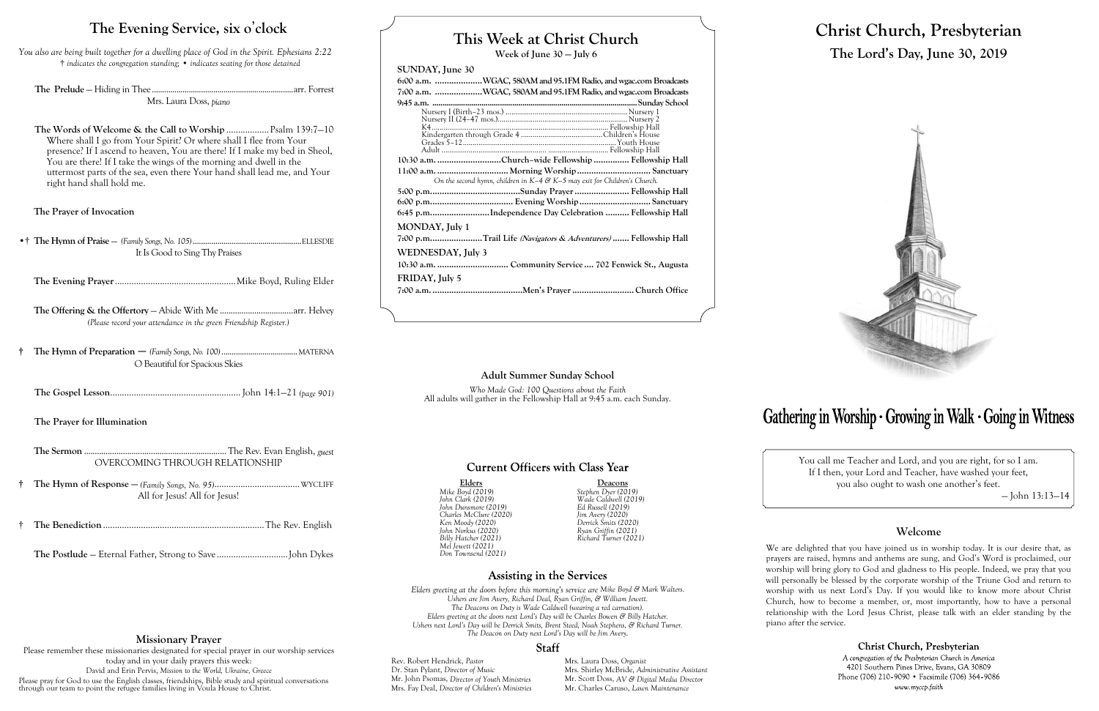## **This Week at Christ Church**

**Week of June 30 — July 6**

### **SUNDAY, June 30**

| 6:00 a.m. WGAC, 580AM and 95.1FM Radio, and wgac.com Broadcasts               |
|-------------------------------------------------------------------------------|
| 7:00 a.m. WGAC, 580AM and 95.1FM Radio, and wgac.com Broadcasts               |
|                                                                               |
|                                                                               |
|                                                                               |
|                                                                               |
|                                                                               |
|                                                                               |
| 10:30 a.m. Church-wide Fellowship  Fellowship Hall                            |
| 11:00 a.m.  Morning Worship  Sanctuary                                        |
| On the second hymn, children in $K-4$ & $K-5$ may exit for Children's Church. |
|                                                                               |
|                                                                               |
| 6:45 p.mIndependence Day Celebration  Fellowship Hall                         |
| MONDAY, July 1                                                                |
| 7:00 p.mTrail Life <i>(Navigators &amp; Adventurers)</i> Fellowship Hall      |
| WEDNESDAY, July 3                                                             |
|                                                                               |
| FRIDAY, July 5                                                                |
|                                                                               |
|                                                                               |

Elders Mike Boyd (2019) Stephen Dyer (2019) *Mike Boyd (2019) Stephen Dyer (2019) John Dunsmore (2019) Ed Russell (2019) Charles McClure (2020) Jim Avery (2020) Ken Moody (2020) Derrick Smits (2020) John Norkus (2020) Ryan Griffin (2021) Mel Jewett (2021) Don Townsend (2021)*

*John Clark (2019) Wade Caldwell (2019) Billy Hatcher (2021) Richard Turner (2021)*

### **Assisting in the Services**

*Elders greeting at the doors before this morning's service are Mike Boyd & Mark Walters. Ushers are Jim Avery, Richard Deal, Ryan Griffin, & William Jewett. The Deacons on Duty is Wade Caldwell (wearing a red carnation). Elders greeting at the doors next Lord's Day will be Charles Bowen & Billy Hatcher. Ushers next Lord's Day will be Derrick Smits, Brent Steed, Noah Stephens, & Richard Turner. The Deacon on Duty next Lord's Day will be Jim Avery.*

### **Staff**

Rev. Robert Hendrick, *Pastor* Mrs. Laura Doss, *Organist*<br>Dr. Stan Pylant, *Director of Music* Mrs. Shirley McBride, *Adm* Mr. John Psomas, *Director of Youth Ministries*<br>Mrs. Fay Deal, *Director of Children's Ministries* 

Mrs. Shirley McBride, *Administrative Assistant* Mr. Scott Doss, *AV & Digital Media Director* Mr. Charles Caruso, *Lawn Maintenance* 

# Gathering in Worship · Growing in Walk · Going in Witness

# **Christ Church, Presbyterian The Lord's Day, June 30, 2019**



You call me Teacher and Lord, and you are right, for so I am. If I then, your Lord and Teacher, have washed your feet, you also ought to wash one another's feet.

— John 13:13—14

### **Welcome**

We are delighted that you have joined us in worship today. It is our desire that, as prayers are raised, hymns and anthems are sung, and God's Word is proclaimed, our worship will bring glory to God and gladness to His people. Indeed, we pray that you will personally be blessed by the corporate worship of the Triune God and return to worship with us next Lord's Day. If you would like to know more about Christ Church, how to become a member, or, most importantly, how to have a personal relationship with the Lord Jesus Christ, please talk with an elder standing by the piano after the service.

> Christ Church, Presbyterian A congregation of the Presbyterian Church in America 4201 Southern Pines Drive, Evans, GA 30809 Phone (706) 210-9090 • Facsimile (706) 364-9086 www.myccp.faith

### **The Evening Service, six o**'**clock**

*You also are being built together for a dwelling place of God in the Spirit. Ephesians 2:22* † *indicates the congregation standing;* • *indicates seating for those detained*

**The Prelude** — Hiding in Thee .....................................................................arr. Forrest Mrs. Laura Doss, *piano*

**The Words of Welcome & the Call to Worship** ..................Psalm 139:7—10 Where shall I go from Your Spirit? Or where shall I flee from Your presence? If I ascend to heaven, You are there! If I make my bed in Sheol, You are there! If I take the wings of the morning and dwell in the uttermost parts of the sea, even there Your hand shall lead me, and Your right hand shall hold me.

**The Prayer of Invocation**

•† **The Hymn of Praise** — *(Family Songs, No. 105)*.....................................................ELLESDIE It Is Good to Sing Thy Praises

**The Evening Prayer**...................................................Mike Boyd, Ruling Elder

**The Offering & the Offertory** — Abide With Me ..................................arr. Helvey *(Please record your attendance in the green Friendship Register.)*

**† The Hymn of Preparation** — *(Family Songs, No. 100)*.....................................MATERNA O Beautiful for Spacious Skies

**The Gospel Lesson**....................................................... John 14:1—21 *(page 901)*

**The Prayer for Illumination**

**The Sermon** ..................................................................The Rev. Evan English, *guest* OVERCOMING THROUGH RELATIONSHIP

- **† The Hymn of Response —** *(Family Songs, No. 95)*....................................WYCLIFF All for Jesus! All for Jesus!
- † **The Benediction**....................................................................The Rev. English

**The Postlude** — Eternal Father, Strong to Save ..............................John Dykes

#### **Adult Summer Sunday School**

*Who Made God: 100 Questions about the Faith* All adults will gather in the Fellowship Hall at 9:45 a.m. each Sunday.

### **Current Officers with Class Year**

### **Missionary Prayer**

Please remember these missionaries designated for special prayer in our worship services today and in your daily prayers this week: David and Erin Pervis, *Mission to the World, Ukraine, Greece* Please pray for God to use the English classes, friendships, Bible study and spiritual conversations through our team to point the refugee families living in Voula House to Christ.